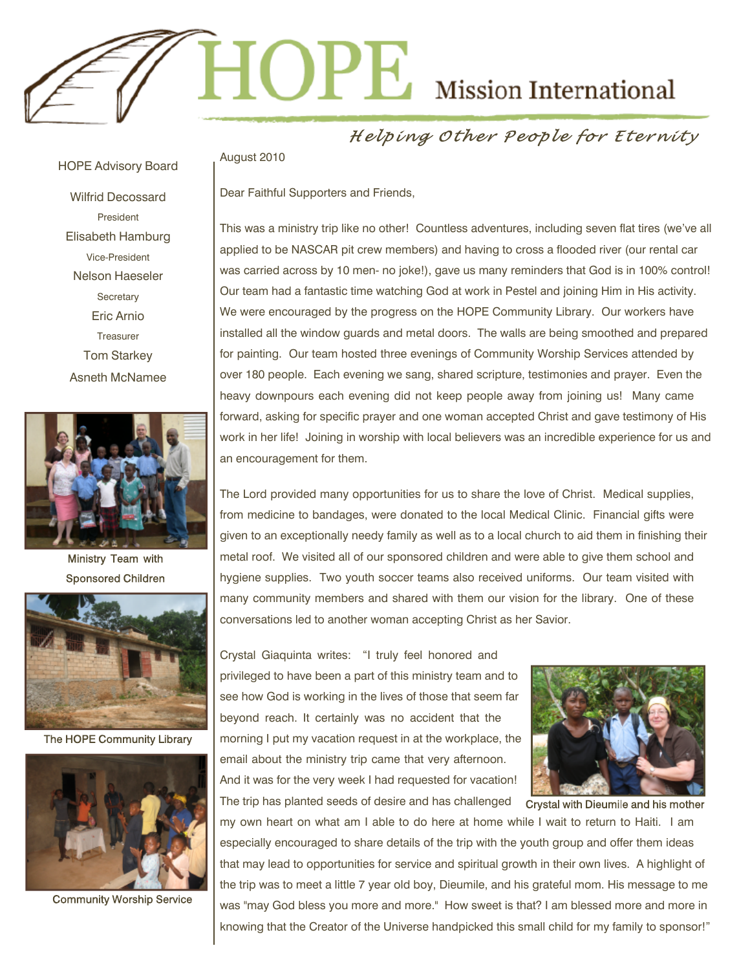

Helping Other People for Eternity

August 2010

Dear Faithful Supporters and Friends,

This was a ministry trip like no other! Countless adventures, including seven flat tires (we've all applied to be NASCAR pit crew members) and having to cross a flooded river (our rental car was carried across by 10 men- no joke!), gave us many reminders that God is in 100% control! Our team had a fantastic time watching God at work in Pestel and joining Him in His activity. We were encouraged by the progress on the HOPE Community Library. Our workers have installed all the window guards and metal doors. The walls are being smoothed and prepared for painting. Our team hosted three evenings of Community Worship Services attended by over 180 people. Each evening we sang, shared scripture, testimonies and prayer. Even the heavy downpours each evening did not keep people away from joining us! Many came forward, asking for specific prayer and one woman accepted Christ and gave testimony of His work in her life! Joining in worship with local believers was an incredible experience for us and an encouragement for them.

The Lord provided many opportunities for us to share the love of Christ. Medical supplies, from medicine to bandages, were donated to the local Medical Clinic. Financial gifts were given to an exceptionally needy family as well as to a local church to aid them in finishing their metal roof. We visited all of our sponsored children and were able to give them school and hygiene supplies. Two youth soccer teams also received uniforms. Our team visited with many community members and shared with them our vision for the library. One of these conversations led to another woman accepting Christ as her Savior.

Crystal Giaquinta writes: "I truly feel honored and privileged to have been a part of this ministry team and to see how God is working in the lives of those that seem far beyond reach. It certainly was no accident that the morning I put my vacation request in at the workplace, the email about the ministry trip came that very afternoon. And it was for the very week I had requested for vacation! The trip has planted seeds of desire and has challenged



my own heart on what am I able to do here at home while I wait to return to Haiti. I am especially encouraged to share details of the trip with the youth group and offer them ideas that may lead to opportunities for service and spiritual growth in their own lives. A highlight of the trip was to meet a little 7 year old boy, Dieumile, and his grateful mom. His message to me was "may God bless you more and more." How sweet is that? I am blessed more and more in knowing that the Creator of the Universe handpicked this small child for my family to sponsor!"

HOPE Advisory Board

Wilfrid Decossard President Elisabeth Hamburg Vice-President Nelson Haeseler **Secretary** Eric Arnio Treasurer Tom Starkey Asneth McNamee



Ministry Team with **Sponsored Children** 



The HOPE Community Library



**Community Worship Service**